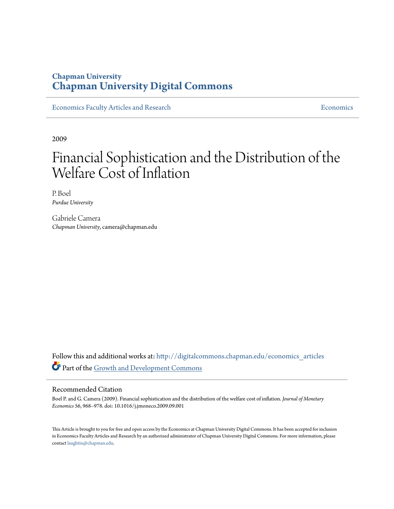### **Chapman University [Chapman University Digital Commons](http://digitalcommons.chapman.edu?utm_source=digitalcommons.chapman.edu%2Feconomics_articles%2F85&utm_medium=PDF&utm_campaign=PDFCoverPages)**

[Economics Faculty Articles and Research](http://digitalcommons.chapman.edu/economics_articles?utm_source=digitalcommons.chapman.edu%2Feconomics_articles%2F85&utm_medium=PDF&utm_campaign=PDFCoverPages) **[Economics](http://digitalcommons.chapman.edu/economics?utm_source=digitalcommons.chapman.edu%2Feconomics_articles%2F85&utm_medium=PDF&utm_campaign=PDFCoverPages)** Economics

2009

# Financial Sophistication and the Distribution of the Welfare Cost of Inflation

P. Boel *Purdue University*

Gabriele Camera *Chapman University*, camera@chapman.edu

Follow this and additional works at: [http://digitalcommons.chapman.edu/economics\\_articles](http://digitalcommons.chapman.edu/economics_articles?utm_source=digitalcommons.chapman.edu%2Feconomics_articles%2F85&utm_medium=PDF&utm_campaign=PDFCoverPages) Part of the [Growth and Development Commons](http://network.bepress.com/hgg/discipline/346?utm_source=digitalcommons.chapman.edu%2Feconomics_articles%2F85&utm_medium=PDF&utm_campaign=PDFCoverPages)

#### Recommended Citation

Boel P. and G. Camera (2009). Financial sophistication and the distribution of the welfare cost of inflation. *Journal of Monetary Economics* 56, 968–978. doi: 10.1016/j.jmoneco.2009.09.001

This Article is brought to you for free and open access by the Economics at Chapman University Digital Commons. It has been accepted for inclusion in Economics Faculty Articles and Research by an authorized administrator of Chapman University Digital Commons. For more information, please contact [laughtin@chapman.edu](mailto:laughtin@chapman.edu).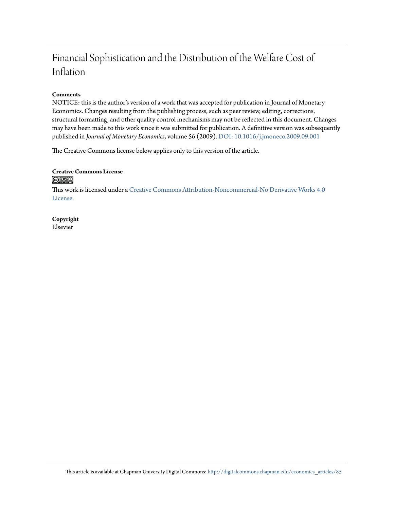### Financial Sophistication and the Distribution of the Welfare Cost of Inflation

#### **Comments**

NOTICE: this is the author's version of a work that was accepted for publication in Journal of Monetary Economics. Changes resulting from the publishing process, such as peer review, editing, corrections, structural formatting, and other quality control mechanisms may not be reflected in this document. Changes may have been made to this work since it was submitted for publication. A definitive version was subsequently published in *Journal of Monetary Economics*, volume 56 (2009). [DOI: 10.1016/j.jmoneco.2009.09.001](http://dx.doi.org/10.1016/j.jmoneco.2009.09.001)

The Creative Commons license below applies only to this version of the article.

#### **Creative Commons License**  $\bigcirc$   $\circ$

This work is licensed under a [Creative Commons Attribution-Noncommercial-No Derivative Works 4.0](http://creativecommons.org/licenses/by-nc-nd/4.0/) [License.](http://creativecommons.org/licenses/by-nc-nd/4.0/)

**Copyright** Elsevier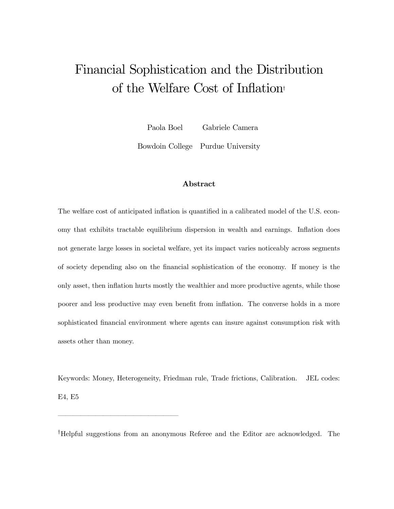## Financial Sophistication and the Distribution of the Welfare Cost of Inflation†

Paola Boel Gabriele Camera

Bowdoin College Purdue University

#### Abstract

The welfare cost of anticipated inflation is quantified in a calibrated model of the U.S. economy that exhibits tractable equilibrium dispersion in wealth and earnings. Inflation does not generate large losses in societal welfare, yet its impact varies noticeably across segments of society depending also on the financial sophistication of the economy. If money is the only asset, then inflation hurts mostly the wealthier and more productive agents, while those poorer and less productive may even benefit from inflation. The converse holds in a more sophisticated financial environment where agents can insure against consumption risk with assets other than money.

Keywords: Money, Heterogeneity, Friedman rule, Trade frictions, Calibration. JEL codes: E4, E5

† Helpful suggestions from an anonymous Referee and the Editor are acknowledged. The

––––––––––––––––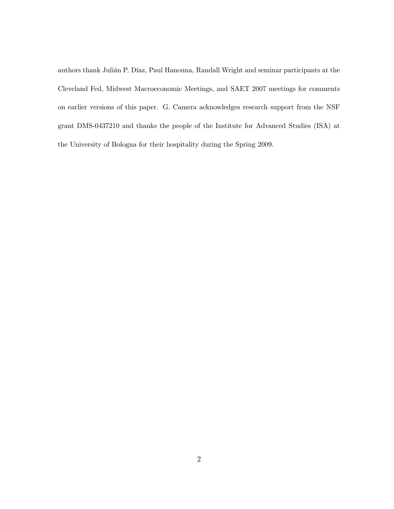authors thank Julián P. Díaz, Paul Hanouna, Randall Wright and seminar participants at the Cleveland Fed, Midwest Macroeconomic Meetings, and SAET 2007 meetings for comments on earlier versions of this paper. G. Camera acknowledges research support from the NSF grant DMS-0437210 and thanks the people of the Institute for Advanced Studies (ISA) at the University of Bologna for their hospitality during the Spring 2009.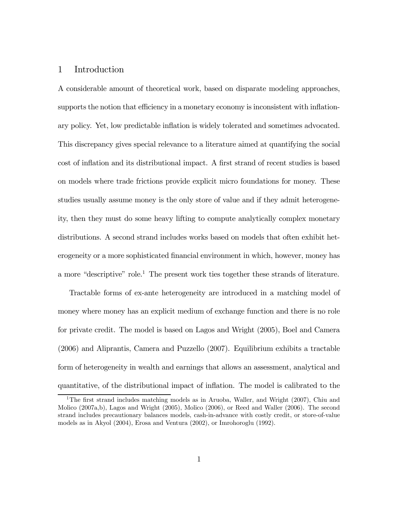#### 1 Introduction

A considerable amount of theoretical work, based on disparate modeling approaches, supports the notion that efficiency in a monetary economy is inconsistent with inflationary policy. Yet, low predictable inflation is widely tolerated and sometimes advocated. This discrepancy gives special relevance to a literature aimed at quantifying the social cost of inflation and its distributional impact. A first strand of recent studies is based on models where trade frictions provide explicit micro foundations for money. These studies usually assume money is the only store of value and if they admit heterogeneity, then they must do some heavy lifting to compute analytically complex monetary distributions. A second strand includes works based on models that often exhibit heterogeneity or a more sophisticated financial environment in which, however, money has a more "descriptive" role.<sup>1</sup> The present work ties together these strands of literature.

Tractable forms of ex-ante heterogeneity are introduced in a matching model of money where money has an explicit medium of exchange function and there is no role for private credit. The model is based on Lagos and Wright (2005), Boel and Camera (2006) and Aliprantis, Camera and Puzzello (2007). Equilibrium exhibits a tractable form of heterogeneity in wealth and earnings that allows an assessment, analytical and quantitative, of the distributional impact of inflation. The model is calibrated to the

<sup>&</sup>lt;sup>1</sup>The first strand includes matching models as in Aruoba, Waller, and Wright (2007), Chiu and Molico (2007a,b), Lagos and Wright (2005), Molico (2006), or Reed and Waller (2006). The second strand includes precautionary balances models, cash-in-advance with costly credit, or store-of-value models as in Akyol (2004), Erosa and Ventura (2002), or Imrohoroglu (1992).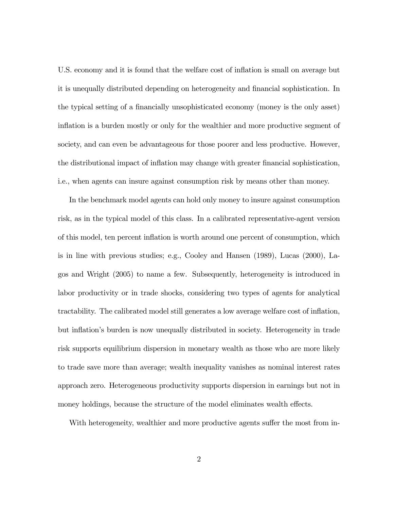U.S. economy and it is found that the welfare cost of inflation is small on average but it is unequally distributed depending on heterogeneity and financial sophistication. In the typical setting of a financially unsophisticated economy (money is the only asset) inflation is a burden mostly or only for the wealthier and more productive segment of society, and can even be advantageous for those poorer and less productive. However, the distributional impact of inflation may change with greater financial sophistication, i.e., when agents can insure against consumption risk by means other than money.

In the benchmark model agents can hold only money to insure against consumption risk, as in the typical model of this class. In a calibrated representative-agent version of this model, ten percent inflation is worth around one percent of consumption, which is in line with previous studies; e.g., Cooley and Hansen (1989), Lucas (2000), Lagos and Wright (2005) to name a few. Subsequently, heterogeneity is introduced in labor productivity or in trade shocks, considering two types of agents for analytical tractability. The calibrated model still generates a low average welfare cost of inflation, but inflation's burden is now unequally distributed in society. Heterogeneity in trade risk supports equilibrium dispersion in monetary wealth as those who are more likely to trade save more than average; wealth inequality vanishes as nominal interest rates approach zero. Heterogeneous productivity supports dispersion in earnings but not in money holdings, because the structure of the model eliminates wealth effects.

With heterogeneity, wealthier and more productive agents suffer the most from in-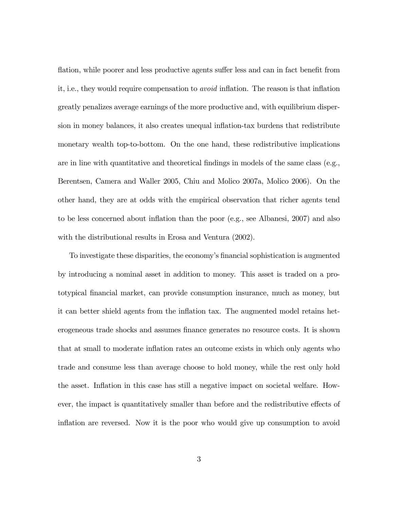flation, while poorer and less productive agents suffer less and can in fact benefit from it, i.e., they would require compensation to avoid inflation. The reason is that inflation greatly penalizes average earnings of the more productive and, with equilibrium dispersion in money balances, it also creates unequal inflation-tax burdens that redistribute monetary wealth top-to-bottom. On the one hand, these redistributive implications are in line with quantitative and theoretical findings in models of the same class (e.g., Berentsen, Camera and Waller 2005, Chiu and Molico 2007a, Molico 2006). On the other hand, they are at odds with the empirical observation that richer agents tend to be less concerned about inflation than the poor (e.g., see Albanesi, 2007) and also with the distributional results in Erosa and Ventura (2002).

To investigate these disparities, the economy's financial sophistication is augmented by introducing a nominal asset in addition to money. This asset is traded on a prototypical financial market, can provide consumption insurance, much as money, but it can better shield agents from the inflation tax. The augmented model retains heterogeneous trade shocks and assumes finance generates no resource costs. It is shown that at small to moderate inflation rates an outcome exists in which only agents who trade and consume less than average choose to hold money, while the rest only hold the asset. Inflation in this case has still a negative impact on societal welfare. However, the impact is quantitatively smaller than before and the redistributive effects of inflation are reversed. Now it is the poor who would give up consumption to avoid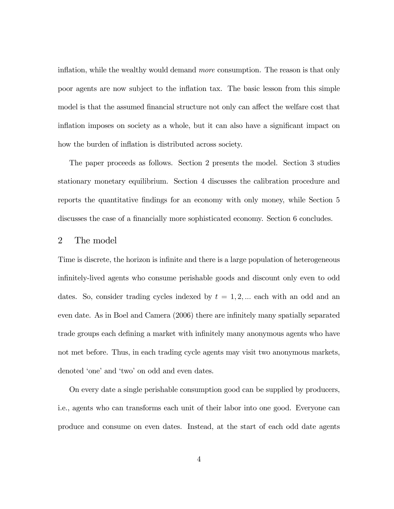inflation, while the wealthy would demand more consumption. The reason is that only poor agents are now subject to the inflation tax. The basic lesson from this simple model is that the assumed financial structure not only can affect the welfare cost that inflation imposes on society as a whole, but it can also have a significant impact on how the burden of inflation is distributed across society.

The paper proceeds as follows. Section 2 presents the model. Section 3 studies stationary monetary equilibrium. Section 4 discusses the calibration procedure and reports the quantitative findings for an economy with only money, while Section 5 discusses the case of a financially more sophisticated economy. Section 6 concludes.

#### 2 The model

Time is discrete, the horizon is infinite and there is a large population of heterogeneous infinitely-lived agents who consume perishable goods and discount only even to odd dates. So, consider trading cycles indexed by  $t = 1, 2, ...$  each with an odd and an even date. As in Boel and Camera (2006) there are infinitely many spatially separated trade groups each defining a market with infinitely many anonymous agents who have not met before. Thus, in each trading cycle agents may visit two anonymous markets, denoted 'one' and 'two' on odd and even dates.

On every date a single perishable consumption good can be supplied by producers, i.e., agents who can transforms each unit of their labor into one good. Everyone can produce and consume on even dates. Instead, at the start of each odd date agents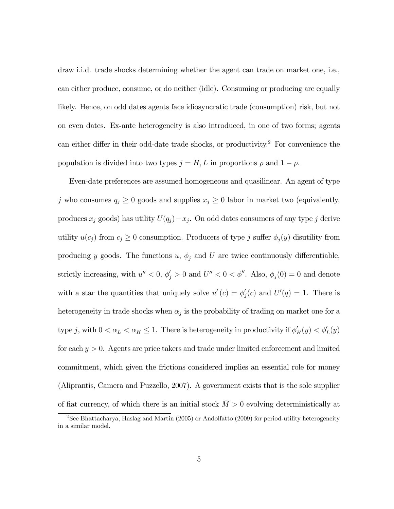draw i.i.d. trade shocks determining whether the agent can trade on market one, i.e., can either produce, consume, or do neither (idle). Consuming or producing are equally likely. Hence, on odd dates agents face idiosyncratic trade (consumption) risk, but not on even dates. Ex-ante heterogeneity is also introduced, in one of two forms; agents can either differ in their odd-date trade shocks, or productivity.2 For convenience the population is divided into two types  $j = H, L$  in proportions  $\rho$  and  $1 - \rho$ .

Even-date preferences are assumed homogeneous and quasilinear. An agent of type j who consumes  $q_j \geq 0$  goods and supplies  $x_j \geq 0$  labor in market two (equivalently, produces  $x_j$  goods) has utility  $U(q_j) - x_j$ . On odd dates consumers of any type j derive utility  $u(c_j)$  from  $c_j \geq 0$  consumption. Producers of type j suffer  $\phi_j(y)$  disutility from producing y goods. The functions u,  $\phi_j$  and U are twice continuously differentiable, strictly increasing, with  $u'' < 0$ ,  $\phi'_j > 0$  and  $U'' < 0 < \phi''$ . Also,  $\phi_j(0) = 0$  and denote with a star the quantities that uniquely solve  $u'(c) = \phi'_{j}(c)$  and  $U'(q) = 1$ . There is heterogeneity in trade shocks when  $\alpha_j$  is the probability of trading on market one for a type j, with  $0 < \alpha_L < \alpha_H \le 1$ . There is heterogeneity in productivity if  $\phi'_H(y) < \phi'_L(y)$ for each  $y > 0$ . Agents are price takers and trade under limited enforcement and limited commitment, which given the frictions considered implies an essential role for money (Aliprantis, Camera and Puzzello, 2007). A government exists that is the sole supplier of fiat currency, of which there is an initial stock  $M > 0$  evolving deterministically at

<sup>&</sup>lt;sup>2</sup>See Bhattacharya, Haslag and Martin (2005) or Andolfatto (2009) for period-utility heterogeneity in a similar model.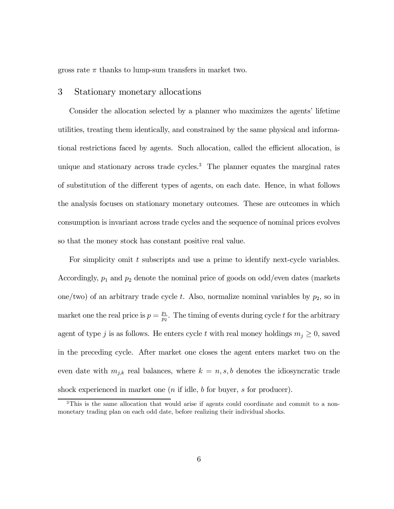gross rate  $\pi$  thanks to lump-sum transfers in market two.

#### 3 Stationary monetary allocations

Consider the allocation selected by a planner who maximizes the agents' lifetime utilities, treating them identically, and constrained by the same physical and informational restrictions faced by agents. Such allocation, called the efficient allocation, is unique and stationary across trade cycles.<sup>3</sup> The planner equates the marginal rates of substitution of the different types of agents, on each date. Hence, in what follows the analysis focuses on stationary monetary outcomes. These are outcomes in which consumption is invariant across trade cycles and the sequence of nominal prices evolves so that the money stock has constant positive real value.

For simplicity omit t subscripts and use a prime to identify next-cycle variables. Accordingly,  $p_1$  and  $p_2$  denote the nominal price of goods on odd/even dates (markets one/two) of an arbitrary trade cycle t. Also, normalize nominal variables by  $p_2$ , so in market one the real price is  $p = \frac{p_1}{p_2}$ . The timing of events during cycle t for the arbitrary agent of type j is as follows. He enters cycle t with real money holdings  $m_j \geq 0$ , saved in the preceding cycle. After market one closes the agent enters market two on the even date with  $m_{j,k}$  real balances, where  $k = n, s, b$  denotes the idiosyncratic trade shock experienced in market one  $(n$  if idle, b for buyer, s for producer).

<sup>&</sup>lt;sup>3</sup>This is the same allocation that would arise if agents could coordinate and commit to a nonmonetary trading plan on each odd date, before realizing their individual shocks.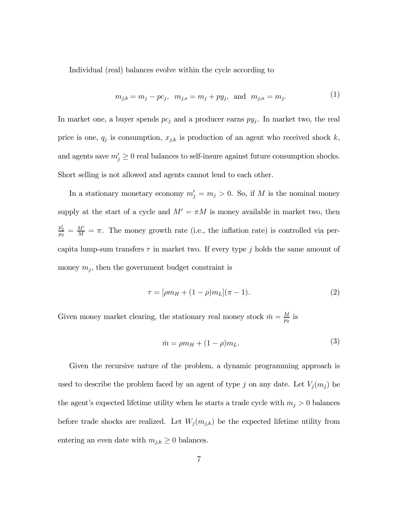Individual (real) balances evolve within the cycle according to

$$
m_{j,b} = m_j - pc_j
$$
,  $m_{j,s} = m_j + py_j$ , and  $m_{j,n} = m_j$ . (1)

In market one, a buyer spends  $pc_j$  and a producer earns  $py_j$ . In market two, the real price is one,  $q_j$  is consumption,  $x_{j,k}$  is production of an agent who received shock k, and agents save  $m'_j \geq 0$  real balances to self-insure against future consumption shocks. Short selling is not allowed and agents cannot lend to each other.

In a stationary monetary economy  $m'_j = m_j > 0$ . So, if M is the nominal money supply at the start of a cycle and  $M' = \pi M$  is money available in market two, then  $\frac{p'_2}{p_2} = \frac{M'}{M} = \pi$ . The money growth rate (i.e., the inflation rate) is controlled via percapita lump-sum transfers  $\tau$  in market two. If every type j holds the same amount of money  $m_j$ , then the government budget constraint is

$$
\tau = [\rho m_H + (1 - \rho) m_L](\pi - 1). \tag{2}
$$

Given money market clearing, the stationary real money stock  $\bar{m} = \frac{M}{p_2}$  is

$$
\bar{m} = \rho m_H + (1 - \rho)m_L. \tag{3}
$$

Given the recursive nature of the problem, a dynamic programming approach is used to describe the problem faced by an agent of type j on any date. Let  $V_j(m_j)$  be the agent's expected lifetime utility when he starts a trade cycle with  $m_j > 0$  balances before trade shocks are realized. Let  $W_j(m_{j,k})$  be the expected lifetime utility from entering an even date with  $m_{j,k} \geq 0$  balances.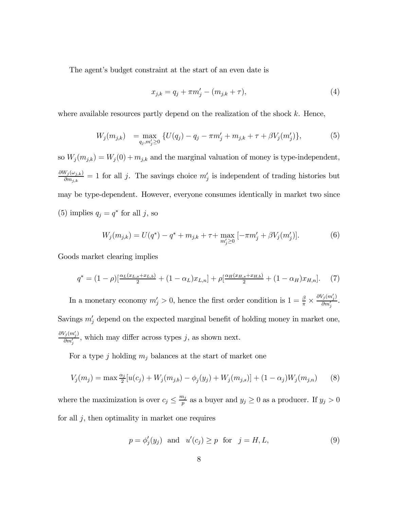The agent's budget constraint at the start of an even date is

$$
x_{j,k} = q_j + \pi m'_j - (m_{j,k} + \tau),
$$
\n(4)

where available resources partly depend on the realization of the shock  $k$ . Hence,

$$
W_j(m_{j,k}) = \max_{q_j, m'_j \ge 0} \{ U(q_j) - q_j - \pi m'_j + m_{j,k} + \tau + \beta V_j(m'_j) \},\tag{5}
$$

so  $W_j(m_{j,k}) = W_j(0) + m_{j,k}$  and the marginal valuation of money is type-independent,  $\partial W_j(\omega_{j,k})$  $\frac{\partial v_j(\omega_{j,k})}{\partial m_{j,k}} = 1$  for all j. The savings choice  $m'_j$  is independent of trading histories but may be type-dependent. However, everyone consumes identically in market two since (5) implies  $q_j = q^*$  for all j, so

$$
W_j(m_{j,k}) = U(q^*) - q^* + m_{j,k} + \tau + \max_{m'_j \ge 0} \left[ -\pi m'_j + \beta V_j(m'_j) \right]. \tag{6}
$$

Goods market clearing implies

$$
q^* = (1 - \rho)[\frac{\alpha_L(x_{L,s} + x_{L,b})}{2} + (1 - \alpha_L)x_{L,n}] + \rho[\frac{\alpha_H(x_{H,s} + x_{H,b})}{2} + (1 - \alpha_H)x_{H,n}].
$$
 (7)

In a monetary economy  $m'_j > 0$ , hence the first order condition is  $1 = \frac{\beta}{\pi} \times$  $\partial V_j(m'_j)$  $\frac{\partial m'_j}{\partial m'_j}$ . Savings  $m'_j$  depend on the expected marginal benefit of holding money in market one,  $\partial V_j(m'_j)$  $\frac{f_j(m_j)}{\partial m'_j}$ , which may differ across types j, as shown next.

For a type j holding  $m_j$  balances at the start of market one

$$
V_j(m_j) = \max \frac{\alpha_j}{2} [u(c_j) + W_j(m_{j,b}) - \phi_j(y_j) + W_j(m_{j,s})] + (1 - \alpha_j) W_j(m_{j,n}) \tag{8}
$$

where the maximization is over  $c_j \leq \frac{m_j}{p}$  as a buyer and  $y_j \geq 0$  as a producer. If  $y_j > 0$ for all  $j$ , then optimality in market one requires

$$
p = \phi_j'(y_j) \quad \text{and} \quad u'(c_j) \ge p \quad \text{for} \quad j = H, L,\tag{9}
$$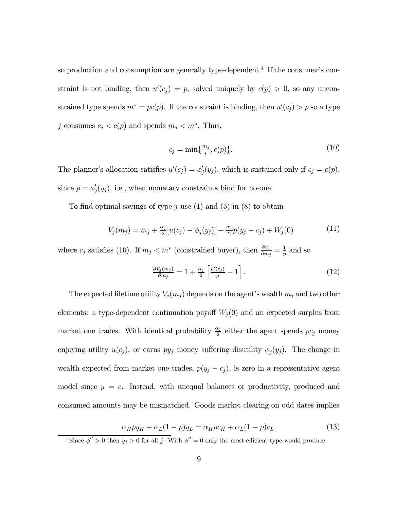so production and consumption are generally type-dependent.<sup>4</sup> If the consumer's constraint is not binding, then  $u'(c_j) = p$ , solved uniquely by  $c(p) > 0$ , so any unconstrained type spends  $m^* = pc(p)$ . If the constraint is binding, then  $u'(c_j) > p$  so a type j consumes  $c_j < c(p)$  and spends  $m_j < m^*$ . Thus,

$$
c_j = \min\{\frac{m_j}{p}, c(p)\}.\tag{10}
$$

The planner's allocation satisfies  $u'(c_j) = \phi'_j(y_j)$ , which is sustained only if  $c_j = c(p)$ , since  $p = \phi'_j(y_j)$ , i.e., when monetary constraints bind for no-one.

To find optimal savings of type  $j$  use (1) and (5) in (8) to obtain

$$
V_j(m_j) = m_j + \frac{\alpha_j}{2} [u(c_j) - \phi_j(y_j)] + \frac{\alpha_j}{2} p(y_j - c_j) + W_j(0)
$$
\n(11)

where  $c_j$  satisfies (10). If  $m_j < m^*$  (constrained buyer), then  $\frac{\partial c_j}{\partial m_j} = \frac{1}{p}$  and so

$$
\frac{\partial V_j(m_j)}{\partial m_j} = 1 + \frac{\alpha_j}{2} \left[ \frac{u'(c_j)}{p} - 1 \right]. \tag{12}
$$

The expected lifetime utility  $V_j(m_j)$  depends on the agent's wealth  $m_j$  and two other elements: a type-dependent continuation payoff  $W_j(0)$  and an expected surplus from market one trades. With identical probability  $\frac{\alpha_j}{2}$  either the agent spends  $pc_j$  money enjoying utility  $u(c_j)$ , or earns  $py_j$  money suffering disutility  $\phi_j(y_j)$ . The change in wealth expected from market one trades,  $p(y_j - c_j)$ , is zero in a representative agent model since  $y = c$ . Instead, with unequal balances or productivity, produced and consumed amounts may be mismatched. Goods market clearing on odd dates implies

$$
\alpha_H \rho y_H + \alpha_L (1 - \rho) y_L = \alpha_H \rho c_H + \alpha_L (1 - \rho) c_L. \tag{13}
$$

<sup>&</sup>lt;sup>4</sup>Since  $\phi'' > 0$  then  $y_j > 0$  for all j. With  $\phi'' = 0$  only the most efficient type would produce.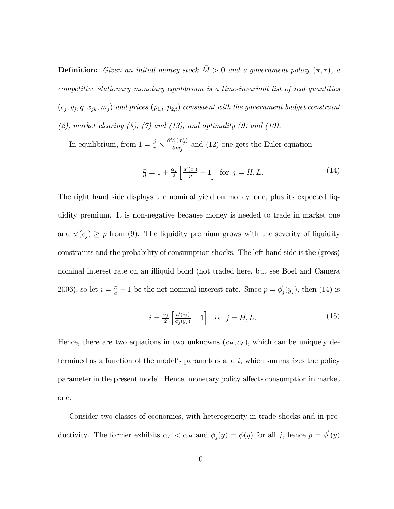**Definition:** Given an initial money stock  $\overline{M} > 0$  and a government policy  $(\pi, \tau)$ , a competitive stationary monetary equilibrium is a time-invariant list of real quantities  $(c_j, y_j, q, x_{jk}, m_j)$  and prices  $(p_{1,t}, p_{2,t})$  consistent with the government budget constraint  $(2)$ , market clearing  $(3)$ ,  $(7)$  and  $(13)$ , and optimality  $(9)$  and  $(10)$ .

In equilibrium, from  $1 = \frac{\beta}{\pi} \times$  $\partial V_j(m'_j)$  $\frac{\partial \sigma_{ij}(m_j)}{\partial m'_j}$  and (12) one gets the Euler equation

$$
\frac{\pi}{\beta} = 1 + \frac{\alpha_j}{2} \left[ \frac{u'(c_j)}{p} - 1 \right] \text{ for } j = H, L. \tag{14}
$$

The right hand side displays the nominal yield on money, one, plus its expected liquidity premium. It is non-negative because money is needed to trade in market one and  $u'(c_j) \geq p$  from (9). The liquidity premium grows with the severity of liquidity constraints and the probability of consumption shocks. The left hand side is the (gross) nominal interest rate on an illiquid bond (not traded here, but see Boel and Camera 2006), so let  $i = \frac{\pi}{\beta} - 1$  be the net nominal interest rate. Since  $p = \phi'_{j}(y_{j})$ , then (14) is

$$
i = \frac{\alpha_j}{2} \left[ \frac{u'(c_j)}{\phi'_j(y_j)} - 1 \right] \text{ for } j = H, L. \tag{15}
$$

Hence, there are two equations in two unknowns  $(c_H, c_L)$ , which can be uniquely determined as a function of the model's parameters and i, which summarizes the policy parameter in the present model. Hence, monetary policy affects consumption in market one.

Consider two classes of economies, with heterogeneity in trade shocks and in productivity. The former exhibits  $\alpha_L < \alpha_H$  and  $\phi_j(y) = \phi(y)$  for all j, hence  $p = \phi'(y)$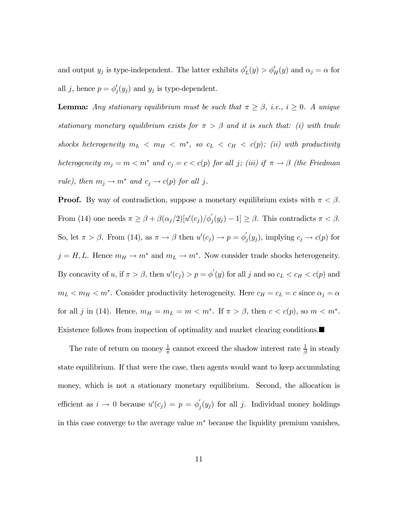and output  $y_j$  is type-independent. The latter exhibits  $\phi'_L(y) > \phi'_H(y)$  and  $\alpha_j = \alpha$  for all j, hence  $p = \phi'_j(y_j)$  and  $y_j$  is type-dependent.

**Lemma:** Any stationary equilibrium must be such that  $\pi \geq \beta$ , i.e.,  $i \geq 0$ . A unique stationary monetary equilibrium exists for  $\pi > \beta$  and it is such that: (i) with trade shocks heterogeneity  $m_L < m_H < m^*$ , so  $c_L < c_H < c(p)$ ; (ii) with productivity heterogeneity  $m_j = m < m^*$  and  $c_j = c < c(p)$  for all j; (iii) if  $\pi \to \beta$  (the Friedman rule), then  $m_j \to m^*$  and  $c_j \to c(p)$  for all j.

**Proof.** By way of contradiction, suppose a monetary equilibrium exists with  $\pi < \beta$ . From (14) one needs  $\pi \geq \beta + \beta(\alpha_j/2)[u'(c_j)/\phi'_j(y_j)-1] \geq \beta$ . This contradicts  $\pi < \beta$ . So, let  $\pi > \beta$ . From (14), as  $\pi \to \beta$  then  $u'(c_j) \to p = \phi'_j(y_j)$ , implying  $c_j \to c(p)$  for  $j = H, L$ . Hence  $m_H \to m^*$  and  $m_L \to m^*$ . Now consider trade shocks heterogeneity. By concavity of u, if  $\pi > \beta$ , then  $u'(c_j) > p = \phi'(y)$  for all j and so  $c_L < c_H < c(p)$  and  $m_L < m_H < m^*$ . Consider productivity heterogeneity. Here  $c_H = c_L = c$  since  $\alpha_j = \alpha$ for all j in (14). Hence,  $m_H = m_L = m < m^*$ . If  $\pi > \beta$ , then  $c < c(p)$ , so  $m < m^*$ . Existence follows from inspection of optimality and market clearing conditions.

The rate of return on money  $\frac{1}{\pi}$  cannot exceed the shadow interest rate  $\frac{1}{\beta}$  in steady state equilibrium. If that were the case, then agents would want to keep accumulating money, which is not a stationary monetary equilibrium. Second, the allocation is efficient as  $i \to 0$  because  $u'(c_j) = p = \phi'_j(y_j)$  for all j. Individual money holdings in this case converge to the average value  $m^*$  because the liquidity premium vanishes,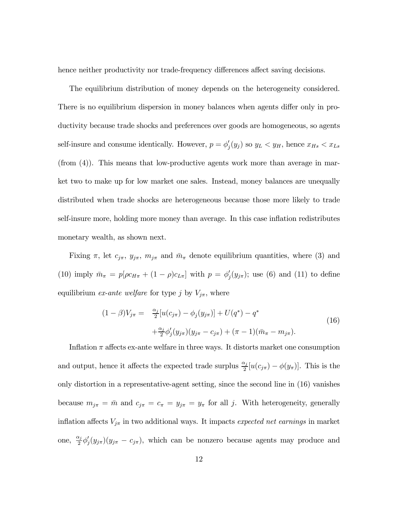hence neither productivity nor trade-frequency differences affect saving decisions.

The equilibrium distribution of money depends on the heterogeneity considered. There is no equilibrium dispersion in money balances when agents differ only in productivity because trade shocks and preferences over goods are homogeneous, so agents self-insure and consume identically. However,  $p = \phi'_j(y_j)$  so  $y_L < y_H$ , hence  $x_{H_s} < x_{L_s}$ (from (4)). This means that low-productive agents work more than average in market two to make up for low market one sales. Instead, money balances are unequally distributed when trade shocks are heterogeneous because those more likely to trade self-insure more, holding more money than average. In this case inflation redistributes monetary wealth, as shown next.

Fixing  $\pi$ , let  $c_{j\pi}$ ,  $y_{j\pi}$ ,  $m_{j\pi}$  and  $\bar{m}_{\pi}$  denote equilibrium quantities, where (3) and (10) imply  $\bar{m}_{\pi} = p[\rho c_{H\pi} + (1 - \rho)c_{L\pi}]$  with  $p = \phi'_{j}(y_{j\pi})$ ; use (6) and (11) to define equilibrium *ex-ante welfare* for type j by  $V_{j\pi}$ , where

$$
(1 - \beta)V_{j\pi} = \frac{\alpha_j}{2} [u(c_{j\pi}) - \phi_j(y_{j\pi})] + U(q^*) - q^*
$$
  
 
$$
+ \frac{\alpha_j}{2} \phi'_j(y_{j\pi})(y_{j\pi} - c_{j\pi}) + (\pi - 1)(\bar{m}_{\pi} - m_{j\pi}).
$$
 (16)

Inflation  $\pi$  affects ex-ante welfare in three ways. It distorts market one consumption and output, hence it affects the expected trade surplus  $\frac{\alpha_j}{2}[u(c_{j\pi}) - \phi(y_{\pi})]$ . This is the only distortion in a representative-agent setting, since the second line in (16) vanishes because  $m_{j\pi} = \bar{m}$  and  $c_{j\pi} = c_{\pi} = y_{j\pi} = y_{\pi}$  for all j. With heterogeneity, generally inflation affects  $V_{j\pi}$  in two additional ways. It impacts expected net earnings in market one,  $\frac{\alpha_j}{2} \phi'_j(y_{j\pi})(y_{j\pi} - c_{j\pi})$ , which can be nonzero because agents may produce and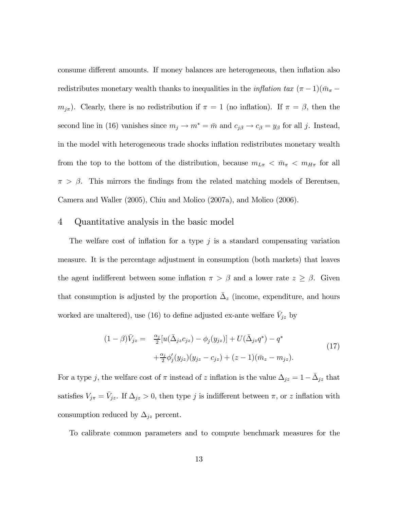consume different amounts. If money balances are heterogeneous, then inflation also redistributes monetary wealth thanks to inequalities in the *inflation tax*  $(\pi - 1)(\bar{m}_{\pi}$  $m_{j\pi}$ ). Clearly, there is no redistribution if  $\pi = 1$  (no inflation). If  $\pi = \beta$ , then the second line in (16) vanishes since  $m_j \to m^* = \bar{m}$  and  $c_{j\beta} \to c_{\beta} = y_{\beta}$  for all j. Instead, in the model with heterogeneous trade shocks inflation redistributes monetary wealth from the top to the bottom of the distribution, because  $m_{L\pi} < \bar{m}_{\pi} < m_{H\pi}$  for all  $\pi > \beta$ . This mirrors the findings from the related matching models of Berentsen, Camera and Waller (2005), Chiu and Molico (2007a), and Molico (2006).

#### 4 Quantitative analysis in the basic model

The welfare cost of inflation for a type  $j$  is a standard compensating variation measure. It is the percentage adjustment in consumption (both markets) that leaves the agent indifferent between some inflation  $\pi > \beta$  and a lower rate  $z \geq \beta$ . Given that consumption is adjusted by the proportion  $\overline{\Delta}_z$  (income, expenditure, and hours worked are unaltered), use (16) to define adjusted ex-ante welfare  $\bar{V}_{jz}$  by

$$
(1 - \beta)\bar{V}_{jz} = \frac{\alpha_j}{2} [u(\bar{\Delta}_{jz}c_{jz}) - \phi_j(y_{jz})] + U(\bar{\Delta}_{jz}q^*) - q^*
$$
  
 
$$
+ \frac{\alpha_j}{2} \phi'_j(y_{jz})(y_{jz} - c_{jz}) + (z - 1)(\bar{m}_z - m_{jz}).
$$
 (17)

For a type j, the welfare cost of  $\pi$  instead of z inflation is the value  $\Delta_{jz} = 1 - \Delta_{jz}$  that satisfies  $V_{j\pi} = \bar{V}_{jz}$ . If  $\Delta_{jz} > 0$ , then type j is indifferent between  $\pi$ , or z inflation with consumption reduced by  $\Delta_{jz}$  percent.

To calibrate common parameters and to compute benchmark measures for the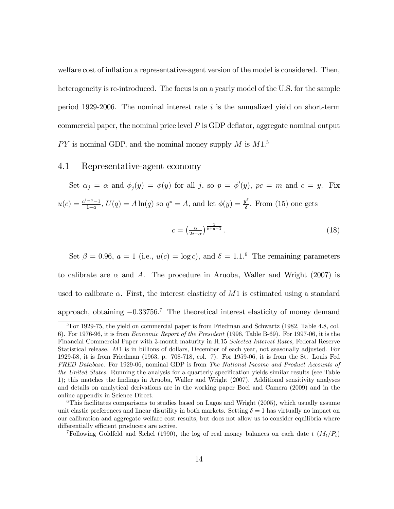welfare cost of inflation a representative-agent version of the model is considered. Then, heterogeneity is re-introduced. The focus is on a yearly model of the U.S. for the sample period 1929-2006. The nominal interest rate  $i$  is the annualized yield on short-term commercial paper, the nominal price level  $P$  is GDP deflator, aggregate nominal output  $PY$  is nominal GDP, and the nominal money supply M is  $M1<sup>5</sup>$ 

#### 4.1 Representative-agent economy

Set  $\alpha_j = \alpha$  and  $\phi_j(y) = \phi(y)$  for all j, so  $p = \phi'(y)$ ,  $pc = m$  and  $c = y$ . Fix  $u(c) = \frac{c^{1-a}-1}{1-a}$ ,  $U(q) = A \ln(q)$  so  $q^* = A$ , and let  $\phi(y) = \frac{y^{\delta}}{\delta}$ . From (15) one gets

$$
c = \left(\frac{\alpha}{2i+\alpha}\right)^{\frac{1}{\delta+a-1}}.\tag{18}
$$

Set  $\beta = 0.96$ ,  $a = 1$  (i.e.,  $u(c) = \log c$ ), and  $\delta = 1.1$ .<sup>6</sup> The remaining parameters to calibrate are  $\alpha$  and A. The procedure in Aruoba, Waller and Wright (2007) is used to calibrate  $\alpha$ . First, the interest elasticity of M1 is estimated using a standard approach, obtaining −0.33756. <sup>7</sup> The theoretical interest elasticity of money demand

<sup>&</sup>lt;sup>5</sup>For 1929-75, the yield on commercial paper is from Friedman and Schwartz (1982, Table 4.8, col. 6). For 1976-96, it is from Economic Report of the President (1996, Table B-69). For 1997-06, it is the Financial Commercial Paper with 3-month maturity in H.15 Selected Interest Rates, Federal Reserve Statistical release. M1 is in billions of dollars, December of each year, not seasonally adjusted. For 1929-58, it is from Friedman (1963, p. 708-718, col. 7). For 1959-06, it is from the St. Louis Fed FRED Database. For 1929-06, nominal GDP is from The National Income and Product Accounts of the United States. Running the analysis for a quarterly specification yields similar results (see Table 1); this matches the findings in Aruoba, Waller and Wright (2007). Additional sensitivity analyses and details on analytical derivations are in the working paper Boel and Camera (2009) and in the online appendix in Science Direct.

 $6$ This facilitates comparisons to studies based on Lagos and Wright (2005), which usually assume unit elastic preferences and linear disutility in both markets. Setting  $\delta = 1$  has virtually no impact on our calibration and aggregate welfare cost results, but does not allow us to consider equilibria where differentially efficient producers are active.

<sup>&</sup>lt;sup>7</sup>Following Goldfeld and Sichel (1990), the log of real money balances on each date t  $(M_t/P_t)$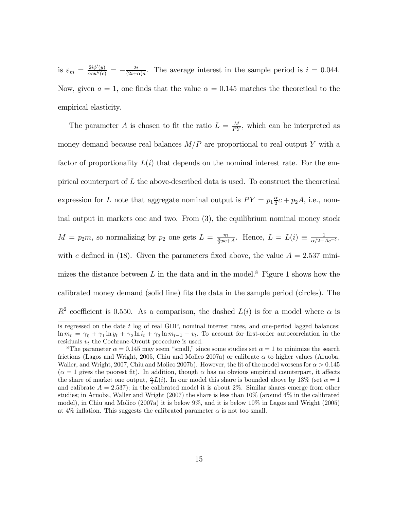is  $\varepsilon_m = \frac{2i\phi'(y)}{\alpha c u''(c)} = -\frac{2i}{(2i+\alpha)a}$ . The average interest in the sample period is  $i = 0.044$ . Now, given  $a = 1$ , one finds that the value  $\alpha = 0.145$  matches the theoretical to the empirical elasticity.

The parameter A is chosen to fit the ratio  $L = \frac{M}{PY}$ , which can be interpreted as money demand because real balances  $M/P$  are proportional to real output Y with a factor of proportionality  $L(i)$  that depends on the nominal interest rate. For the empirical counterpart of  $L$  the above-described data is used. To construct the theoretical expression for L note that aggregate nominal output is  $PY = p_1 \frac{\alpha}{2}c + p_2 A$ , i.e., nominal output in markets one and two. From (3), the equilibrium nominal money stock  $M = p_2m$ , so normalizing by  $p_2$  one gets  $L = \frac{m}{\frac{\alpha}{2}pc+A}$ . Hence,  $L = L(i) \equiv \frac{1}{\alpha/2+A}$ . with c defined in (18). Given the parameters fixed above, the value  $A = 2.537$  minimizes the distance between L in the data and in the model.<sup>8</sup> Figure 1 shows how the calibrated money demand (solid line) fits the data in the sample period (circles). The  $R^2$  coefficient is 0.550. As a comparison, the dashed  $L(i)$  is for a model where  $\alpha$  is

is regressed on the date t log of real GDP, nominal interest rates, and one-period lagged balances:  $\ln m_t = \gamma_0 + \gamma_1 \ln y_t + \gamma_2 \ln i_t + \gamma_3 \ln m_{t-1} + v_t$ . To account for first-order autocorrelation in the residuals  $v_t$  the Cochrane-Orcutt procedure is used.

<sup>&</sup>lt;sup>8</sup>The parameter  $\alpha = 0.145$  may seem "small," since some studies set  $\alpha = 1$  to minimize the search frictions (Lagos and Wright, 2005, Chiu and Molico 2007a) or calibrate  $\alpha$  to higher values (Aruoba, Waller, and Wright, 2007, Chiu and Molico 2007b). However, the fit of the model worsens for  $\alpha > 0.145$  $(\alpha = 1$  gives the poorest fit). In addition, though  $\alpha$  has no obvious empirical counterpart, it affects the share of market one output,  $\frac{\alpha}{2}L(i)$ . In our model this share is bounded above by 13% (set  $\alpha = 1$ ) and calibrate  $A = 2.537$ ; in the calibrated model it is about 2%. Similar shares emerge from other studies; in Aruoba, Waller and Wright  $(2007)$  the share is less than  $10\%$  (around  $4\%$  in the calibrated model), in Chiu and Molico (2007a) it is below 9%, and it is below 10% in Lagos and Wright (2005) at 4% inflation. This suggests the calibrated parameter  $\alpha$  is not too small.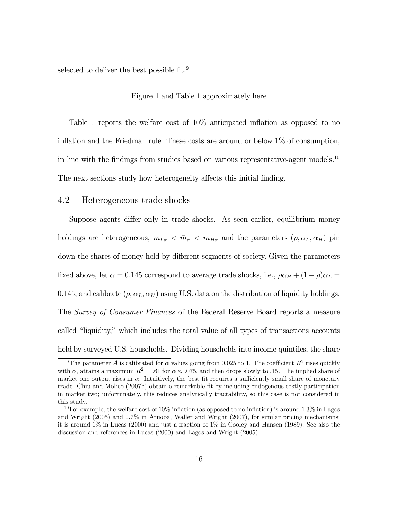selected to deliver the best possible fit.<sup>9</sup>

#### Figure 1 and Table 1 approximately here

Table 1 reports the welfare cost of 10% anticipated inflation as opposed to no inflation and the Friedman rule. These costs are around or below 1% of consumption, in line with the findings from studies based on various representative-agent models.<sup>10</sup> The next sections study how heterogeneity affects this initial finding.

#### 4.2 Heterogeneous trade shocks

Suppose agents differ only in trade shocks. As seen earlier, equilibrium money holdings are heterogeneous,  $m_{L\pi} < \bar{m}_{\pi} < m_{H\pi}$  and the parameters  $(\rho, \alpha_L, \alpha_H)$  pin down the shares of money held by different segments of society. Given the parameters fixed above, let  $\alpha = 0.145$  correspond to average trade shocks, i.e.,  $\rho \alpha_H + (1 - \rho) \alpha_L =$ 0.145, and calibrate  $(\rho, \alpha_L, \alpha_H)$  using U.S. data on the distribution of liquidity holdings. The Survey of Consumer Finances of the Federal Reserve Board reports a measure called "liquidity," which includes the total value of all types of transactions accounts held by surveyed U.S. households. Dividing households into income quintiles, the share

<sup>&</sup>lt;sup>9</sup>The parameter A is calibrated for  $\alpha$  values going from 0.025 to 1. The coefficient  $R^2$  rises quickly with  $\alpha$ , attains a maximum  $R^2 = .61$  for  $\alpha \approx .075$ , and then drops slowly to .15. The implied share of market one output rises in  $\alpha$ . Intuitively, the best fit requires a sufficiently small share of monetary trade. Chiu and Molico (2007b) obtain a remarkable fit by including endogenous costly participation in market two; unfortunately, this reduces analytically tractability, so this case is not considered in this study.

<sup>&</sup>lt;sup>10</sup>For example, the welfare cost of 10% inflation (as opposed to no inflation) is around 1.3% in Lagos and Wright (2005) and 0.7% in Aruoba, Waller and Wright (2007), for similar pricing mechanisms; it is around 1% in Lucas (2000) and just a fraction of 1% in Cooley and Hansen (1989). See also the discussion and references in Lucas (2000) and Lagos and Wright (2005).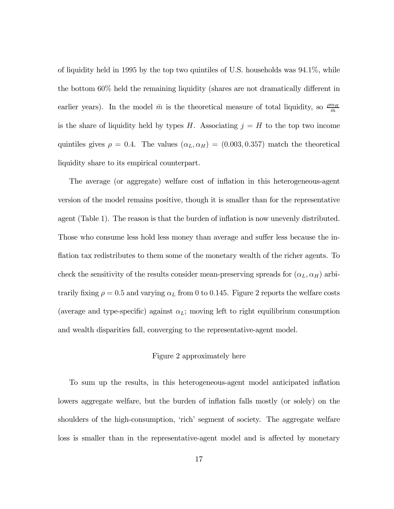of liquidity held in 1995 by the top two quintiles of U.S. households was 94.1%, while the bottom 60% held the remaining liquidity (shares are not dramatically different in earlier years). In the model  $\bar{m}$  is the theoretical measure of total liquidity, so  $\frac{\rho m_H}{\bar{m}}$ is the share of liquidity held by types  $H$ . Associating  $j = H$  to the top two income quintiles gives  $\rho = 0.4$ . The values  $(\alpha_L, \alpha_H) = (0.003, 0.357)$  match the theoretical liquidity share to its empirical counterpart.

The average (or aggregate) welfare cost of inflation in this heterogeneous-agent version of the model remains positive, though it is smaller than for the representative agent (Table 1). The reason is that the burden of inflation is now unevenly distributed. Those who consume less hold less money than average and suffer less because the inflation tax redistributes to them some of the monetary wealth of the richer agents. To check the sensitivity of the results consider mean-preserving spreads for  $(\alpha_L, \alpha_H)$  arbitrarily fixing  $\rho = 0.5$  and varying  $\alpha_L$  from 0 to 0.145. Figure 2 reports the welfare costs (average and type-specific) against  $\alpha_L$ ; moving left to right equilibrium consumption and wealth disparities fall, converging to the representative-agent model.

#### Figure 2 approximately here

To sum up the results, in this heterogeneous-agent model anticipated inflation lowers aggregate welfare, but the burden of inflation falls mostly (or solely) on the shoulders of the high-consumption, 'rich' segment of society. The aggregate welfare loss is smaller than in the representative-agent model and is affected by monetary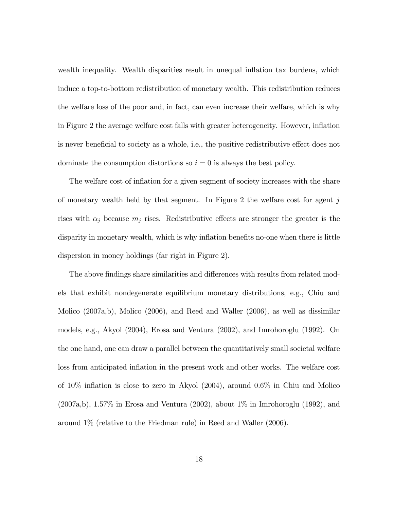wealth inequality. Wealth disparities result in unequal inflation tax burdens, which induce a top-to-bottom redistribution of monetary wealth. This redistribution reduces the welfare loss of the poor and, in fact, can even increase their welfare, which is why in Figure 2 the average welfare cost falls with greater heterogeneity. However, inflation is never beneficial to society as a whole, i.e., the positive redistributive effect does not dominate the consumption distortions so  $i = 0$  is always the best policy.

The welfare cost of inflation for a given segment of society increases with the share of monetary wealth held by that segment. In Figure 2 the welfare cost for agent  $j$ rises with  $\alpha_j$  because  $m_j$  rises. Redistributive effects are stronger the greater is the disparity in monetary wealth, which is why inflation benefits no-one when there is little dispersion in money holdings (far right in Figure 2).

The above findings share similarities and differences with results from related models that exhibit nondegenerate equilibrium monetary distributions, e.g., Chiu and Molico (2007a,b), Molico (2006), and Reed and Waller (2006), as well as dissimilar models, e.g., Akyol (2004), Erosa and Ventura (2002), and Imrohoroglu (1992). On the one hand, one can draw a parallel between the quantitatively small societal welfare loss from anticipated inflation in the present work and other works. The welfare cost of 10% inflation is close to zero in Akyol (2004), around 0.6% in Chiu and Molico (2007a,b), 1.57% in Erosa and Ventura (2002), about 1% in Imrohoroglu (1992), and around 1% (relative to the Friedman rule) in Reed and Waller (2006).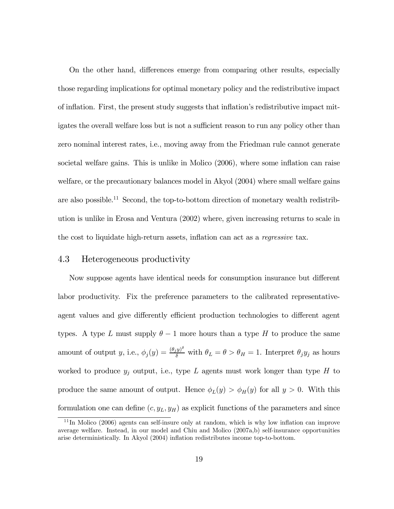On the other hand, differences emerge from comparing other results, especially those regarding implications for optimal monetary policy and the redistributive impact of inflation. First, the present study suggests that inflation's redistributive impact mitigates the overall welfare loss but is not a sufficient reason to run any policy other than zero nominal interest rates, i.e., moving away from the Friedman rule cannot generate societal welfare gains. This is unlike in Molico (2006), where some inflation can raise welfare, or the precautionary balances model in Akyol (2004) where small welfare gains are also possible.<sup>11</sup> Second, the top-to-bottom direction of monetary wealth redistribution is unlike in Erosa and Ventura (2002) where, given increasing returns to scale in the cost to liquidate high-return assets, inflation can act as a regressive tax.

#### 4.3 Heterogeneous productivity

Now suppose agents have identical needs for consumption insurance but different labor productivity. Fix the preference parameters to the calibrated representativeagent values and give differently efficient production technologies to different agent types. A type L must supply  $\theta - 1$  more hours than a type H to produce the same amount of output y, i.e.,  $\phi_j(y) = \frac{(\theta_j y)^{\delta}}{\delta}$  with  $\theta_L = \theta > \theta_H = 1$ . Interpret  $\theta_j y_j$  as hours worked to produce  $y_j$  output, i.e., type L agents must work longer than type H to produce the same amount of output. Hence  $\phi_L(y) > \phi_H(y)$  for all  $y > 0$ . With this formulation one can define  $(c, y_L, y_H)$  as explicit functions of the parameters and since

 $11$ In Molico (2006) agents can self-insure only at random, which is why low inflation can improve average welfare. Instead, in our model and Chiu and Molico (2007a,b) self-insurance opportunities arise deterministically. In Akyol (2004) inflation redistributes income top-to-bottom.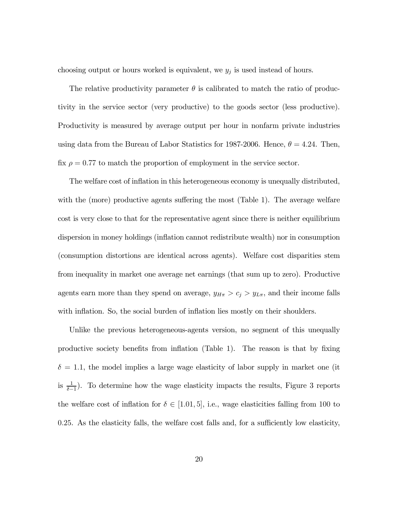choosing output or hours worked is equivalent, we  $y_j$  is used instead of hours.

The relative productivity parameter  $\theta$  is calibrated to match the ratio of productivity in the service sector (very productive) to the goods sector (less productive). Productivity is measured by average output per hour in nonfarm private industries using data from the Bureau of Labor Statistics for 1987-2006. Hence,  $\theta = 4.24$ . Then, fix  $\rho = 0.77$  to match the proportion of employment in the service sector.

The welfare cost of inflation in this heterogeneous economy is unequally distributed, with the (more) productive agents suffering the most (Table 1). The average welfare cost is very close to that for the representative agent since there is neither equilibrium dispersion in money holdings (inflation cannot redistribute wealth) nor in consumption (consumption distortions are identical across agents). Welfare cost disparities stem from inequality in market one average net earnings (that sum up to zero). Productive agents earn more than they spend on average,  $y_{H\pi} > c_j > y_{L\pi}$ , and their income falls with inflation. So, the social burden of inflation lies mostly on their shoulders.

Unlike the previous heterogeneous-agents version, no segment of this unequally productive society benefits from inflation (Table 1). The reason is that by fixing  $\delta = 1.1$ , the model implies a large wage elasticity of labor supply in market one (it is  $\frac{1}{\delta-1}$ ). To determine how the wage elasticity impacts the results, Figure 3 reports the welfare cost of inflation for  $\delta \in [1.01, 5]$ , i.e., wage elasticities falling from 100 to 0.25. As the elasticity falls, the welfare cost falls and, for a sufficiently low elasticity,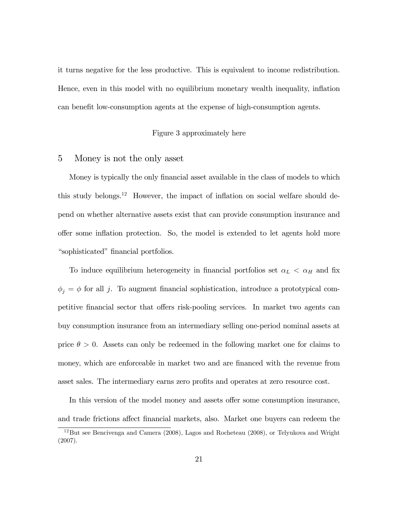it turns negative for the less productive. This is equivalent to income redistribution. Hence, even in this model with no equilibrium monetary wealth inequality, inflation can benefit low-consumption agents at the expense of high-consumption agents.

#### Figure 3 approximately here

#### 5 Money is not the only asset

Money is typically the only financial asset available in the class of models to which this study belongs.12 However, the impact of inflation on social welfare should depend on whether alternative assets exist that can provide consumption insurance and offer some inflation protection. So, the model is extended to let agents hold more "sophisticated" financial portfolios.

To induce equilibrium heterogeneity in financial portfolios set  $\alpha_L < \alpha_H$  and fix  $\phi_j = \phi$  for all j. To augment financial sophistication, introduce a prototypical competitive financial sector that offers risk-pooling services. In market two agents can buy consumption insurance from an intermediary selling one-period nominal assets at price  $\theta > 0$ . Assets can only be redeemed in the following market one for claims to money, which are enforceable in market two and are financed with the revenue from asset sales. The intermediary earns zero profits and operates at zero resource cost.

In this version of the model money and assets offer some consumption insurance,

and trade frictions affect financial markets, also. Market one buyers can redeem the

<sup>12</sup>But see Bencivenga and Camera (2008), Lagos and Rocheteau (2008), or Telyukova and Wright (2007).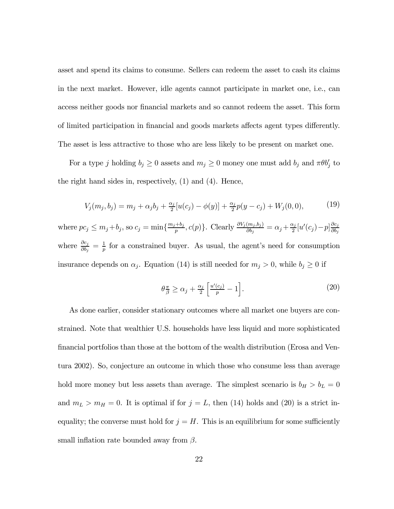asset and spend its claims to consume. Sellers can redeem the asset to cash its claims in the next market. However, idle agents cannot participate in market one, i.e., can access neither goods nor financial markets and so cannot redeem the asset. This form of limited participation in financial and goods markets affects agent types differently. The asset is less attractive to those who are less likely to be present on market one.

For a type j holding  $b_j \ge 0$  assets and  $m_j \ge 0$  money one must add  $b_j$  and  $\pi \theta b'_j$  to the right hand sides in, respectively, (1) and (4). Hence,

$$
V_j(m_j, b_j) = m_j + \alpha_j b_j + \frac{\alpha_j}{2} [u(c_j) - \phi(y)] + \frac{\alpha_j}{2} p(y - c_j) + W_j(0, 0), \tag{19}
$$

where  $pc_j \le m_j + b_j$ , so  $c_j = \min\{\frac{m_j + b_j}{p}, c(p)\}\$ . Clearly  $\frac{\partial V_j(m_j, b_j)}{\partial b_j} = \alpha_j + \frac{\alpha_j}{2}[u'(c_j) - p]\frac{\partial c_j}{\partial b_j}$  $\partial b_j$ where  $\frac{\partial c_j}{\partial b_j} = \frac{1}{p}$  for a constrained buyer. As usual, the agent's need for consumption insurance depends on  $\alpha_j$ . Equation (14) is still needed for  $m_j > 0$ , while  $b_j \geq 0$  if

$$
\theta \frac{\pi}{\beta} \ge \alpha_j + \frac{\alpha_j}{2} \left[ \frac{u'(c_j)}{p} - 1 \right]. \tag{20}
$$

As done earlier, consider stationary outcomes where all market one buyers are constrained. Note that wealthier U.S. households have less liquid and more sophisticated financial portfolios than those at the bottom of the wealth distribution (Erosa and Ventura 2002). So, conjecture an outcome in which those who consume less than average hold more money but less assets than average. The simplest scenario is  $b_H > b_L = 0$ and  $m_L > m_H = 0$ . It is optimal if for  $j = L$ , then (14) holds and (20) is a strict inequality; the converse must hold for  $j = H$ . This is an equilibrium for some sufficiently small inflation rate bounded away from  $\beta$ .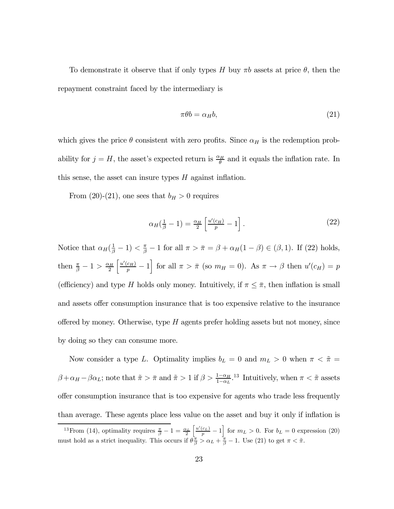To demonstrate it observe that if only types H buy  $\pi b$  assets at price  $\theta$ , then the repayment constraint faced by the intermediary is

$$
\pi \theta b = \alpha_H b,\tag{21}
$$

which gives the price  $\theta$  consistent with zero profits. Since  $\alpha_H$  is the redemption probability for  $j = H$ , the asset's expected return is  $\frac{\alpha_H}{\theta}$  and it equals the inflation rate. In this sense, the asset can insure types  $H$  against inflation.

From (20)-(21), one sees that  $b_H > 0$  requires

$$
\alpha_H(\frac{1}{\beta} - 1) = \frac{\alpha_H}{2} \left[ \frac{u'(c_H)}{p} - 1 \right]. \tag{22}
$$

Notice that  $\alpha_H(\frac{1}{\beta}-1) < \frac{\pi}{\beta}-1$  for all  $\pi > \bar{\pi} = \beta + \alpha_H(1-\beta) \in (\beta,1)$ . If (22) holds, then  $\frac{\pi}{\beta} - 1 > \frac{\alpha_H}{2}$  $\left[\frac{u'(c_H)}{p} - 1\right]$  for all  $\pi > \bar{\pi}$  (so  $m_H = 0$ ). As  $\pi \to \beta$  then  $u'(c_H) = p$ (efficiency) and type H holds only money. Intuitively, if  $\pi \leq \bar{\pi}$ , then inflation is small and assets offer consumption insurance that is too expensive relative to the insurance offered by money. Otherwise, type  $H$  agents prefer holding assets but not money, since by doing so they can consume more.

Now consider a type L. Optimality implies  $b_L = 0$  and  $m_L > 0$  when  $\pi < \tilde{\pi} =$  $\beta + \alpha_H - \beta \alpha_L$ ; note that  $\tilde{\pi} > \bar{\pi}$  and  $\tilde{\pi} > 1$  if  $\beta > \frac{1-\alpha_H}{1-\alpha_L}$ .<sup>13</sup> Intuitively, when  $\pi < \tilde{\pi}$  assets offer consumption insurance that is too expensive for agents who trade less frequently than average. These agents place less value on the asset and buy it only if inflation is

<sup>&</sup>lt;sup>13</sup> From (14), optimality requires  $\frac{\pi}{\beta} - 1 = \frac{\alpha_L}{2}$  $\left\lceil \frac{u'(c_L)}{p} - 1 \right\rceil$  for  $m_L > 0$ . For  $b_L = 0$  expression (20) must hold as a strict inequality. This occurs if  $\theta_{\overline{\beta}}^{\pi} > \alpha_L + \frac{\pi}{\beta} - 1$ . Use (21) to get  $\pi < \tilde{\pi}$ .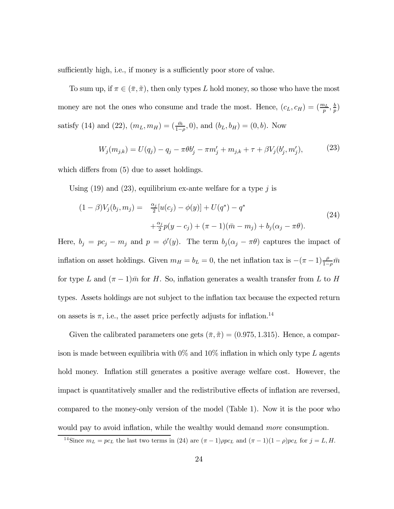sufficiently high, i.e., if money is a sufficiently poor store of value.

To sum up, if  $\pi \in (\bar{\pi}, \tilde{\pi})$ , then only types L hold money, so those who have the most money are not the ones who consume and trade the most. Hence,  $(c_L, c_H) = (\frac{m_L}{p}, \frac{b}{p})$ satisfy (14) and (22),  $(m_L, m_H) = (\frac{\bar{m}}{1-\rho}, 0)$ , and  $(b_L, b_H) = (0, b)$ . Now

$$
W_j(m_{j,k}) = U(q_j) - q_j - \pi \theta b'_j - \pi m'_j + m_{j,k} + \tau + \beta V_j(b'_j, m'_j), \tag{23}
$$

which differs from (5) due to asset holdings.

Using  $(19)$  and  $(23)$ , equilibrium ex-ante welfare for a type j is

$$
(1 - \beta)V_j(b_j, m_j) = \frac{\alpha_j}{2}[u(c_j) - \phi(y)] + U(q^*) - q^*
$$
  
 
$$
+ \frac{\alpha_j}{2}p(y - c_j) + (\pi - 1)(\bar{m} - m_j) + b_j(\alpha_j - \pi\theta).
$$
 (24)

Here,  $b_j = pc_j - m_j$  and  $p = \phi'(y)$ . The term  $b_j(\alpha_j - \pi \theta)$  captures the impact of inflation on asset holdings. Given  $m_H = b_L = 0$ , the net inflation tax is  $-(\pi - 1) \frac{\rho}{1-\rho} \bar{m}$ for type L and  $(\pi - 1)\bar{m}$  for H. So, inflation generates a wealth transfer from L to H types. Assets holdings are not subject to the inflation tax because the expected return on assets is  $\pi$ , i.e., the asset price perfectly adjusts for inflation.<sup>14</sup>

Given the calibrated parameters one gets  $(\bar{\pi}, \tilde{\pi}) = (0.975, 1.315)$ . Hence, a comparison is made between equilibria with  $0\%$  and  $10\%$  inflation in which only type L agents hold money. Inflation still generates a positive average welfare cost. However, the impact is quantitatively smaller and the redistributive effects of inflation are reversed, compared to the money-only version of the model (Table 1). Now it is the poor who would pay to avoid inflation, while the wealthy would demand more consumption.

<sup>&</sup>lt;sup>14</sup>Since  $m_L = pc_L$  the last two terms in (24) are  $(\pi - 1)\rho pc_L$  and  $(\pi - 1)(1 - \rho)pc_L$  for  $j = L, H$ .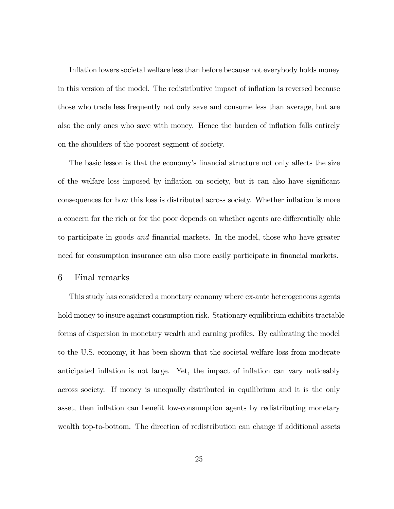Inflation lowers societal welfare less than before because not everybody holds money in this version of the model. The redistributive impact of inflation is reversed because those who trade less frequently not only save and consume less than average, but are also the only ones who save with money. Hence the burden of inflation falls entirely on the shoulders of the poorest segment of society.

The basic lesson is that the economy's financial structure not only affects the size of the welfare loss imposed by inflation on society, but it can also have significant consequences for how this loss is distributed across society. Whether inflation is more a concern for the rich or for the poor depends on whether agents are differentially able to participate in goods and financial markets. In the model, those who have greater need for consumption insurance can also more easily participate in financial markets.

#### 6 Final remarks

This study has considered a monetary economy where ex-ante heterogeneous agents hold money to insure against consumption risk. Stationary equilibrium exhibits tractable forms of dispersion in monetary wealth and earning profiles. By calibrating the model to the U.S. economy, it has been shown that the societal welfare loss from moderate anticipated inflation is not large. Yet, the impact of inflation can vary noticeably across society. If money is unequally distributed in equilibrium and it is the only asset, then inflation can benefit low-consumption agents by redistributing monetary wealth top-to-bottom. The direction of redistribution can change if additional assets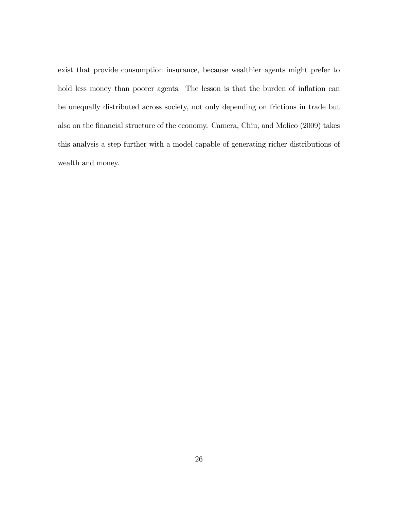exist that provide consumption insurance, because wealthier agents might prefer to hold less money than poorer agents. The lesson is that the burden of inflation can be unequally distributed across society, not only depending on frictions in trade but also on the financial structure of the economy. Camera, Chiu, and Molico (2009) takes this analysis a step further with a model capable of generating richer distributions of wealth and money.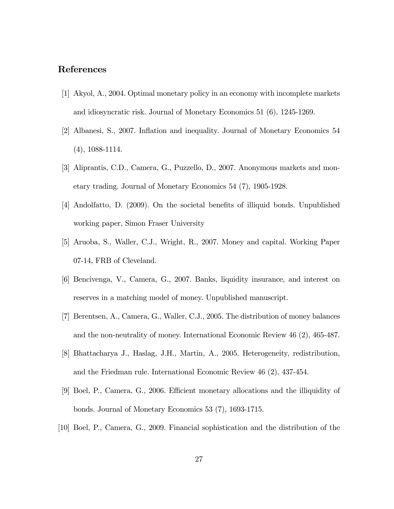#### References

- [1] Akyol, A., 2004. Optimal monetary policy in an economy with incomplete markets and idiosyncratic risk. Journal of Monetary Economics 51 (6), 1245-1269.
- [2] Albanesi, S., 2007. Inflation and inequality. Journal of Monetary Economics 54 (4), 1088-1114.
- [3] Aliprantis, C.D., Camera, G., Puzzello, D., 2007. Anonymous markets and monetary trading. Journal of Monetary Economics 54 (7), 1905-1928.
- [4] Andolfatto, D. (2009). On the societal benefits of illiquid bonds. Unpublished working paper, Simon Fraser University
- [5] Aruoba, S., Waller, C.J., Wright, R., 2007. Money and capital. Working Paper 07-14, FRB of Cleveland.
- [6] Bencivenga, V., Camera, G., 2007. Banks, liquidity insurance, and interest on reserves in a matching model of money. Unpublished manuscript.
- [7] Berentsen, A., Camera, G., Waller, C.J., 2005. The distribution of money balances and the non-neutrality of money. International Economic Review 46 (2), 465-487.
- [8] Bhattacharya J., Haslag, J.H., Martin, A., 2005. Heterogeneity, redistribution, and the Friedman rule. International Economic Review 46 (2), 437-454.
- [9] Boel, P., Camera, G., 2006. Efficient monetary allocations and the illiquidity of bonds. Journal of Monetary Economics 53 (7), 1693-1715.
- [10] Boel, P., Camera, G., 2009. Financial sophistication and the distribution of the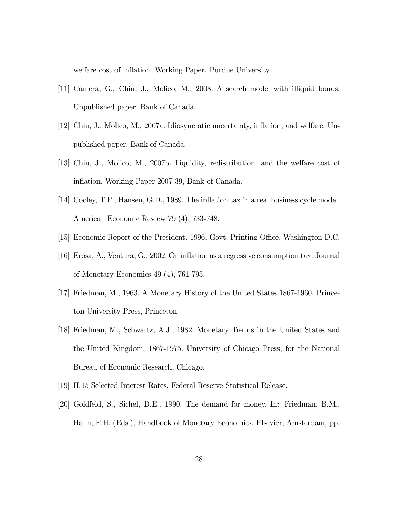welfare cost of inflation. Working Paper, Purdue University.

- [11] Camera, G., Chiu, J., Molico, M., 2008. A search model with illiquid bonds. Unpublished paper. Bank of Canada.
- [12] Chiu, J., Molico, M., 2007a. Idiosyncratic uncertainty, inflation, and welfare. Unpublished paper. Bank of Canada.
- [13] Chiu, J., Molico, M., 2007b. Liquidity, redistribution, and the welfare cost of inflation. Working Paper 2007-39, Bank of Canada.
- [14] Cooley, T.F., Hansen, G.D., 1989. The inflation tax in a real business cycle model. American Economic Review 79 (4), 733-748.
- [15] Economic Report of the President, 1996. Govt. Printing Office, Washington D.C.
- [16] Erosa, A., Ventura, G., 2002. On inflation as a regressive consumption tax. Journal of Monetary Economics 49 (4), 761-795.
- [17] Friedman, M., 1963. A Monetary History of the United States 1867-1960. Princeton University Press, Princeton.
- [18] Friedman, M., Schwartz, A.J., 1982. Monetary Trends in the United States and the United Kingdom, 1867-1975. University of Chicago Press, for the National Bureau of Economic Research, Chicago.
- [19] H.15 Selected Interest Rates, Federal Reserve Statistical Release.
- [20] Goldfeld, S., Sichel, D.E., 1990. The demand for money. In: Friedman, B.M., Hahn, F.H. (Eds.), Handbook of Monetary Economics. Elsevier, Amsterdam, pp.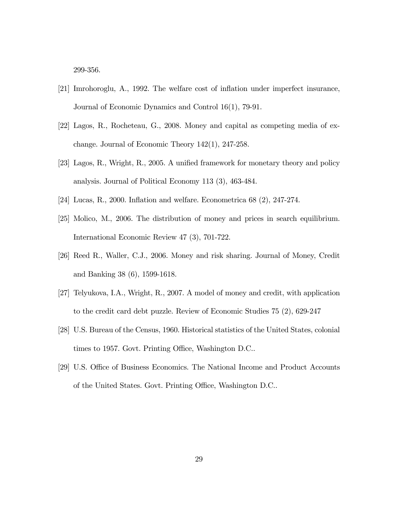299-356.

- [21] Imrohoroglu, A., 1992. The welfare cost of inflation under imperfect insurance, Journal of Economic Dynamics and Control 16(1), 79-91.
- [22] Lagos, R., Rocheteau, G., 2008. Money and capital as competing media of exchange. Journal of Economic Theory 142(1), 247-258.
- [23] Lagos, R., Wright, R., 2005. A unified framework for monetary theory and policy analysis. Journal of Political Economy 113 (3), 463-484.
- [24] Lucas, R., 2000. Inflation and welfare. Econometrica 68 (2), 247-274.
- [25] Molico, M., 2006. The distribution of money and prices in search equilibrium. International Economic Review 47 (3), 701-722.
- [26] Reed R., Waller, C.J., 2006. Money and risk sharing. Journal of Money, Credit and Banking 38 (6), 1599-1618.
- [27] Telyukova, I.A., Wright, R., 2007. A model of money and credit, with application to the credit card debt puzzle. Review of Economic Studies 75 (2), 629-247
- [28] U.S. Bureau of the Census, 1960. Historical statistics of the United States, colonial times to 1957. Govt. Printing Office, Washington D.C..
- [29] U.S. Office of Business Economics. The National Income and Product Accounts of the United States. Govt. Printing Office, Washington D.C..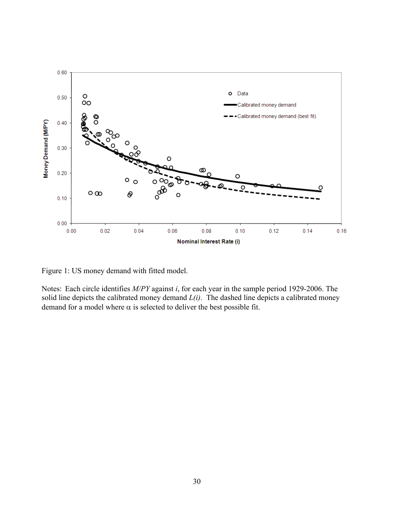

Figure 1: US money demand with fitted model.

Notes: Each circle identifies *M/PY* against *i*, for each year in the sample period 1929-2006. The solid line depicts the calibrated money demand  $L(i)$ . The dashed line depicts a calibrated money demand for a model where  $\alpha$  is selected to deliver the best possible fit.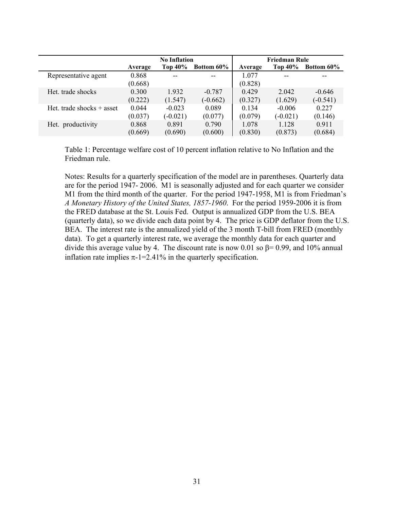|                             | <b>No Inflation</b> |            |                   | <b>Friedman Rule</b> |                |                   |
|-----------------------------|---------------------|------------|-------------------|----------------------|----------------|-------------------|
|                             | Average             | Top 40%    | <b>Bottom 60%</b> | Average              | <b>Top 40%</b> | <b>Bottom 60%</b> |
| Representative agent        | 0.868               |            |                   | 1.077                |                |                   |
|                             | (0.668)             |            |                   | (0.828)              |                |                   |
| Het. trade shocks           | 0.300               | 1.932      | $-0.787$          | 0.429                | 2.042          | $-0.646$          |
|                             | (0.222)             | (1.547)    | $(-0.662)$        | (0.327)              | (1.629)        | $(-0.541)$        |
| Het. trade shocks $+$ asset | 0.044               | $-0.023$   | 0.089             | 0.134                | $-0.006$       | 0.227             |
|                             | (0.037)             | $(-0.021)$ | (0.077)           | (0.079)              | $(-0.021)$     | (0.146)           |
| Het. productivity           | 0.868               | 0.891      | 0.790             | 1.078                | 1.128          | 0.911             |
|                             | (0.669)             | (0.690)    | (0.600)           | (0.830)              | (0.873)        | (0.684)           |

Table 1: Percentage welfare cost of 10 percent inflation relative to No Inflation and the Friedman rule.

Notes: Results for a quarterly specification of the model are in parentheses. Quarterly data are for the period 1947- 2006. M1 is seasonally adjusted and for each quarter we consider M1 from the third month of the quarter. For the period 1947-1958, M1 is from Friedman's *A Monetary History of the United States, 1857-1960*. For the period 1959-2006 it is from the FRED database at the St. Louis Fed. Output is annualized GDP from the U.S. BEA (quarterly data), so we divide each data point by 4. The price is GDP deflator from the U.S. BEA. The interest rate is the annualized yield of the 3 month T-bill from FRED (monthly data). To get a quarterly interest rate, we average the monthly data for each quarter and divide this average value by 4. The discount rate is now 0.01 so  $\beta$ = 0.99, and 10% annual inflation rate implies  $\pi$ -1=2.41% in the quarterly specification.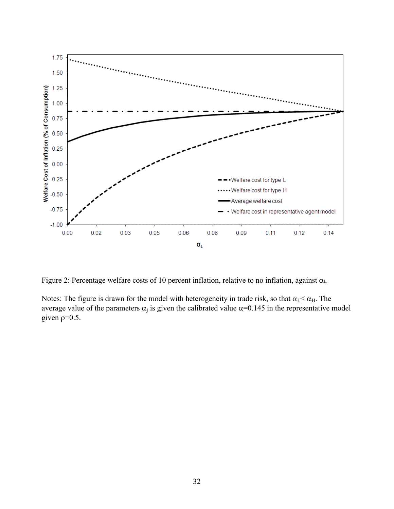

Figure 2: Percentage welfare costs of 10 percent inflation, relative to no inflation, against  $\alpha$ .

Notes: The figure is drawn for the model with heterogeneity in trade risk, so that  $\alpha_{L} < \alpha_{H}$ . The average value of the parameters  $\alpha_i$  is given the calibrated value  $\alpha$ =0.145 in the representative model given  $p=0.5$ .